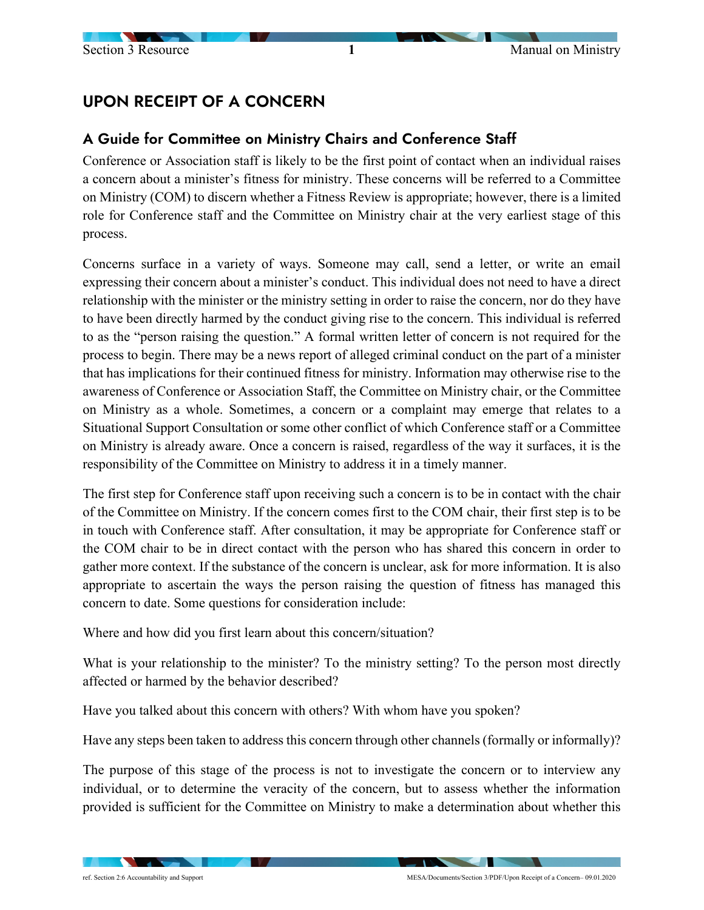## UPON RECEIPT OF A CONCERN

## A Guide for Committee on Ministry Chairs and Conference Staff

Conference or Association staff is likely to be the first point of contact when an individual raises a concern about a minister's fitness for ministry. These concerns will be referred to a Committee on Ministry (COM) to discern whether a Fitness Review is appropriate; however, there is a limited role for Conference staff and the Committee on Ministry chair at the very earliest stage of this process.

Concerns surface in a variety of ways. Someone may call, send a letter, or write an email expressing their concern about a minister's conduct. This individual does not need to have a direct relationship with the minister or the ministry setting in order to raise the concern, nor do they have to have been directly harmed by the conduct giving rise to the concern. This individual is referred to as the "person raising the question." A formal written letter of concern is not required for the process to begin. There may be a news report of alleged criminal conduct on the part of a minister that has implications for their continued fitness for ministry. Information may otherwise rise to the awareness of Conference or Association Staff, the Committee on Ministry chair, or the Committee on Ministry as a whole. Sometimes, a concern or a complaint may emerge that relates to a Situational Support Consultation or some other conflict of which Conference staff or a Committee on Ministry is already aware. Once a concern is raised, regardless of the way it surfaces, it is the responsibility of the Committee on Ministry to address it in a timely manner.

The first step for Conference staff upon receiving such a concern is to be in contact with the chair of the Committee on Ministry. If the concern comes first to the COM chair, their first step is to be in touch with Conference staff. After consultation, it may be appropriate for Conference staff or the COM chair to be in direct contact with the person who has shared this concern in order to gather more context. If the substance of the concern is unclear, ask for more information. It is also appropriate to ascertain the ways the person raising the question of fitness has managed this concern to date. Some questions for consideration include:

Where and how did you first learn about this concern/situation?

What is your relationship to the minister? To the ministry setting? To the person most directly affected or harmed by the behavior described?

Have you talked about this concern with others? With whom have you spoken?

Have any steps been taken to address this concern through other channels (formally or informally)?

The purpose of this stage of the process is not to investigate the concern or to interview any individual, or to determine the veracity of the concern, but to assess whether the information provided is sufficient for the Committee on Ministry to make a determination about whether this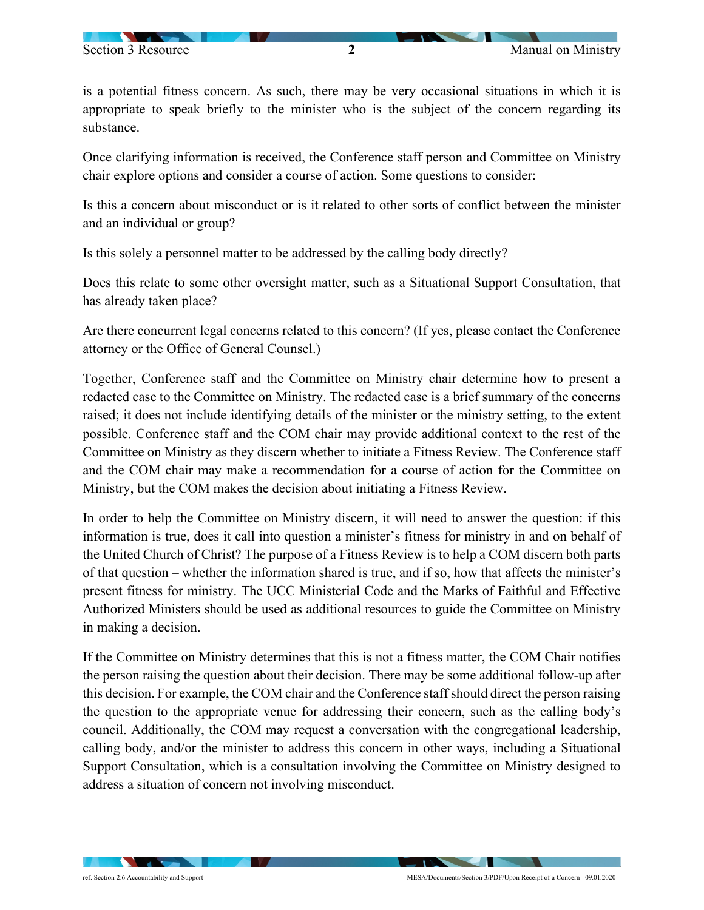is a potential fitness concern. As such, there may be very occasional situations in which it is appropriate to speak briefly to the minister who is the subject of the concern regarding its substance.

Once clarifying information is received, the Conference staff person and Committee on Ministry chair explore options and consider a course of action. Some questions to consider:

Is this a concern about misconduct or is it related to other sorts of conflict between the minister and an individual or group?

Is this solely a personnel matter to be addressed by the calling body directly?

Does this relate to some other oversight matter, such as a Situational Support Consultation, that has already taken place?

Are there concurrent legal concerns related to this concern? (If yes, please contact the Conference attorney or the Office of General Counsel.)

Together, Conference staff and the Committee on Ministry chair determine how to present a redacted case to the Committee on Ministry. The redacted case is a brief summary of the concerns raised; it does not include identifying details of the minister or the ministry setting, to the extent possible. Conference staff and the COM chair may provide additional context to the rest of the Committee on Ministry as they discern whether to initiate a Fitness Review. The Conference staff and the COM chair may make a recommendation for a course of action for the Committee on Ministry, but the COM makes the decision about initiating a Fitness Review.

In order to help the Committee on Ministry discern, it will need to answer the question: if this information is true, does it call into question a minister's fitness for ministry in and on behalf of the United Church of Christ? The purpose of a Fitness Review is to help a COM discern both parts of that question – whether the information shared is true, and if so, how that affects the minister's present fitness for ministry. The UCC Ministerial Code and the Marks of Faithful and Effective Authorized Ministers should be used as additional resources to guide the Committee on Ministry in making a decision.

If the Committee on Ministry determines that this is not a fitness matter, the COM Chair notifies the person raising the question about their decision. There may be some additional follow-up after this decision. For example, the COM chair and the Conference staff should direct the person raising the question to the appropriate venue for addressing their concern, such as the calling body's council. Additionally, the COM may request a conversation with the congregational leadership, calling body, and/or the minister to address this concern in other ways, including a Situational Support Consultation, which is a consultation involving the Committee on Ministry designed to address a situation of concern not involving misconduct.